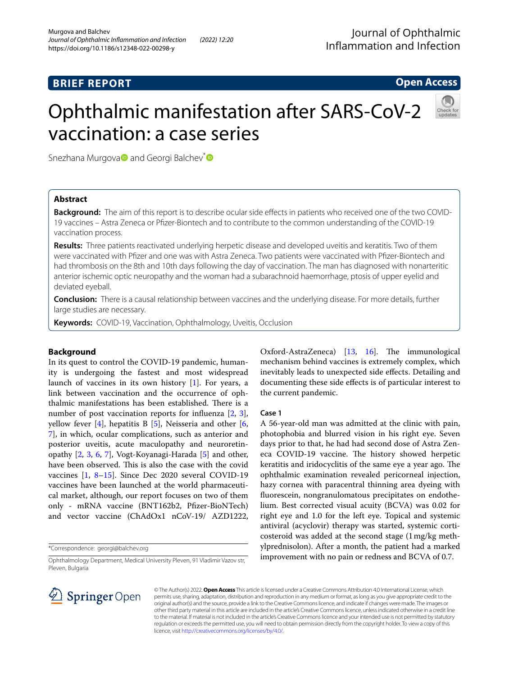# **BRIEF REPORT**

## **Open Access**

# Ophthalmic manifestation after SARS-CoV-2 vaccination: a case series



Snezhan[a](https://orcid.org/0000-0002-7413-8614) Murgova<sup>D</sup> and Georgi Balchev<sup>\*</sup>

## **Abstract**

**Background:** The aim of this report is to describe ocular side efects in patients who received one of the two COVID-19 vaccines – Astra Zeneca or Pfzer-Biontech and to contribute to the common understanding of the COVID-19 vaccination process.

**Results:** Three patients reactivated underlying herpetic disease and developed uveitis and keratitis. Two of them were vaccinated with Pfzer and one was with Astra Zeneca. Two patients were vaccinated with Pfzer-Biontech and had thrombosis on the 8th and 10th days following the day of vaccination. The man has diagnosed with nonarteritic anterior ischemic optic neuropathy and the woman had a subarachnoid haemorrhage, ptosis of upper eyelid and deviated eyeball.

**Conclusion:** There is a causal relationship between vaccines and the underlying disease. For more details, further large studies are necessary.

**Keywords:** COVID-19, Vaccination, Ophthalmology, Uveitis, Occlusion

## **Background**

In its quest to control the COVID-19 pandemic, humanity is undergoing the fastest and most widespread launch of vaccines in its own history [\[1](#page-2-0)]. For years, a link between vaccination and the occurrence of ophthalmic manifestations has been established. There is a number of post vaccination reports for influenza [\[2](#page-2-1), [3](#page-2-2)], yellow fever [[4\]](#page-2-3), hepatitis B [[5\]](#page-2-4), Neisseria and other [\[6](#page-2-5), [7\]](#page-3-0), in which, ocular complications, such as anterior and posterior uveitis, acute maculopathy and neuroretinopathy [[2,](#page-2-1) [3](#page-2-2), [6,](#page-2-5) [7](#page-3-0)], Vogt-Koyanagi-Harada [\[5\]](#page-2-4) and other, have been observed. This is also the case with the covid vaccines [[1,](#page-2-0) [8](#page-3-1)[–15](#page-3-2)]. Since Dec 2020 several COVID-19 vaccines have been launched at the world pharmaceutical market, although, our report focuses on two of them only - mRNA vaccine (BNT162b2, Pfzer-BioNTech) and vector vaccine (ChAdOx1 nCoV-19/ AZD1222,

\*Correspondence: georgi@balchev.org

Ophthalmology Department, Medical University Pleven, 91 Vladimir Vazov str, Pleven, Bulgaria



Oxford-AstraZeneca) [[13,](#page-3-3) [16](#page-3-4)]. The immunological mechanism behind vaccines is extremely complex, which inevitably leads to unexpected side efects. Detailing and documenting these side efects is of particular interest to the current pandemic.

#### **Case 1**

A 56-year-old man was admitted at the clinic with pain, photophobia and blurred vision in his right eye. Seven days prior to that, he had had second dose of Astra Zeneca COVID-19 vaccine. The history showed herpetic keratitis and iridocyclitis of the same eye a year ago. The ophthalmic examination revealed pericorneal injection, hazy cornea with paracentral thinning area dyeing with fuorescein, nongranulomatous precipitates on endothelium. Best corrected visual acuity (BCVA) was 0.02 for right eye and 1.0 for the left eye. Topical and systemic antiviral (acyclovir) therapy was started, systemic corticosteroid was added at the second stage (1mg/kg methylprednisolon). After a month, the patient had a marked improvement with no pain or redness and BCVA of 0.7.

© The Author(s) 2022. **Open Access** This article is licensed under a Creative Commons Attribution 4.0 International License, which permits use, sharing, adaptation, distribution and reproduction in any medium or format, as long as you give appropriate credit to the original author(s) and the source, provide a link to the Creative Commons licence, and indicate if changes were made. The images or other third party material in this article are included in the article's Creative Commons licence, unless indicated otherwise in a credit line to the material. If material is not included in the article's Creative Commons licence and your intended use is not permitted by statutory regulation or exceeds the permitted use, you will need to obtain permission directly from the copyright holder. To view a copy of this licence, visit [http://creativecommons.org/licenses/by/4.0/.](http://creativecommons.org/licenses/by/4.0/)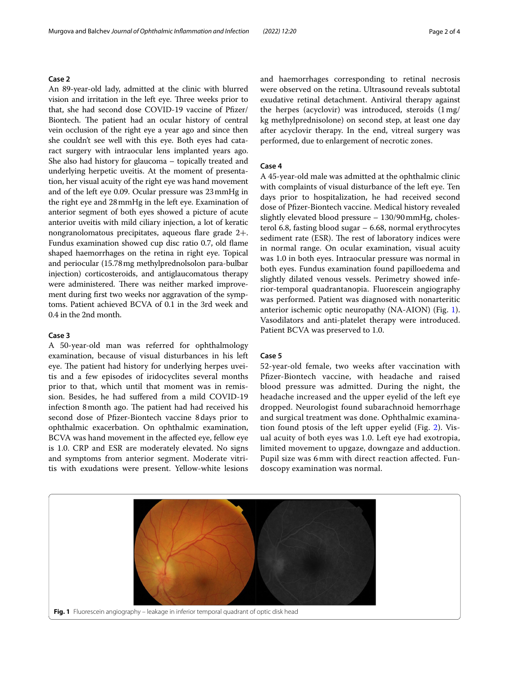## **Case 2**

An 89-year-old lady, admitted at the clinic with blurred vision and irritation in the left eye. Three weeks prior to that, she had second dose COVID-19 vaccine of Pfizer/ Biontech. The patient had an ocular history of central vein occlusion of the right eye a year ago and since then she couldn't see well with this eye. Both eyes had cataract surgery with intraocular lens implanted years ago. She also had history for glaucoma – topically treated and underlying herpetic uveitis. At the moment of presentation, her visual acuity of the right eye was hand movement and of the left eye 0.09. Ocular pressure was 23mmHg in the right eye and 28mmHg in the left eye. Examination of anterior segment of both eyes showed a picture of acute anterior uveitis with mild ciliary injection, a lot of keratic nongranolomatous precipitates, aqueous fare grade 2+. Fundus examination showed cup disc ratio 0.7, old fame shaped haemorrhages on the retina in right eye. Topical and periocular (15.78mg methylprednolsolon para-bulbar injection) corticosteroids, and antiglaucomatous therapy were administered. There was neither marked improvement during frst two weeks nor aggravation of the symptoms. Patient achieved BCVA of 0.1 in the 3rd week and 0.4 in the 2nd month.

## **Case 3**

A 50-year-old man was referred for ophthalmology examination, because of visual disturbances in his left eye. The patient had history for underlying herpes uveitis and a few episodes of iridocyclites several months prior to that, which until that moment was in remission. Besides, he had sufered from a mild COVID-19 infection 8 month ago. The patient had had received his second dose of Pfzer-Biontech vaccine 8days prior to ophthalmic exacerbation. On ophthalmic examination, BCVA was hand movement in the afected eye, fellow eye is 1.0. CRP and ESR are moderately elevated. No signs and symptoms from anterior segment. Moderate vitritis with exudations were present. Yellow-white lesions and haemorrhages corresponding to retinal necrosis were observed on the retina. Ultrasound reveals subtotal exudative retinal detachment. Antiviral therapy against the herpes (acyclovir) was introduced, steroids (1mg/ kg methylprednisolone) on second step, at least one day after acyclovir therapy. In the end, vitreal surgery was performed, due to enlargement of necrotic zones.

#### **Case 4**

A 45-year-old male was admitted at the ophthalmic clinic with complaints of visual disturbance of the left eye. Ten days prior to hospitalization, he had received second dose of Pfzer-Biontech vaccine. Medical history revealed slightly elevated blood pressure – 130/90mmHg, cholesterol 6.8, fasting blood sugar – 6.68, normal erythrocytes sediment rate (ESR). The rest of laboratory indices were in normal range. On ocular examination, visual acuity was 1.0 in both eyes. Intraocular pressure was normal in both eyes. Fundus examination found papilloedema and slightly dilated venous vessels. Perimetry showed inferior-temporal quadrantanopia. Fluorescein angiography was performed. Patient was diagnosed with nonarteritic anterior ischemic optic neuropathy (NA-AION) (Fig. [1](#page-1-0)). Vasodilators and anti-platelet therapy were introduced. Patient BCVA was preserved to 1.0.

## **Case 5**

52-year-old female, two weeks after vaccination with Pfzer-Biontech vaccine, with headache and raised blood pressure was admitted. During the night, the headache increased and the upper eyelid of the left eye dropped. Neurologist found subarachnoid hemorrhage and surgical treatment was done. Ophthalmic examination found ptosis of the left upper eyelid (Fig. [2](#page-2-6)). Visual acuity of both eyes was 1.0. Left eye had exotropia, limited movement to upgaze, downgaze and adduction. Pupil size was 6 mm with direct reaction afected. Fundoscopy examination was normal.

<span id="page-1-0"></span>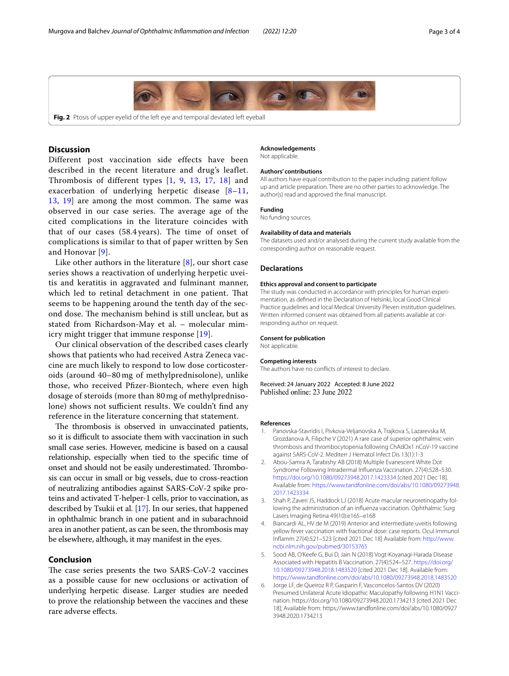

<span id="page-2-6"></span>**Fig. 2** Ptosis of upper eyelid of the left eye and temporal deviated left eyeball

## **Discussion**

Different post vaccination side effects have been described in the recent literature and drug's leaflet. Thrombosis of different types [[1,](#page-2-0) [9](#page-3-5), [13](#page-3-3), [17,](#page-3-6) [18\]](#page-3-7) and exacerbation of underlying herpetic disease  $[8-11, 1]$  $[8-11, 1]$  $[8-11, 1]$ [13,](#page-3-3) [19\]](#page-3-9) are among the most common. The same was observed in our case series. The average age of the cited complications in the literature coincides with that of our cases (58.4 years). The time of onset of complications is similar to that of paper written by Sen and Honovar [\[9](#page-3-5)].

Like other authors in the literature [\[8](#page-3-1)], our short case series shows a reactivation of underlying herpetic uveitis and keratitis in aggravated and fulminant manner, which led to retinal detachment in one patient. That seems to be happening around the tenth day of the second dose. The mechanism behind is still unclear, but as stated from Richardson-May et al. – molecular mimicry might trigger that immune response [\[19](#page-3-9)].

Our clinical observation of the described cases clearly shows that patients who had received Astra Zeneca vaccine are much likely to respond to low dose corticosteroids (around 40–80 mg of methylprednisolone), unlike those, who received Pfzer-Biontech, where even high dosage of steroids (more than 80 mg of methylprednisolone) shows not sufficient results. We couldn't find any reference in the literature concerning that statement.

The thrombosis is observed in unvaccinated patients, so it is difficult to associate them with vaccination in such small case series. However, medicine is based on a causal relationship, especially when tied to the specifc time of onset and should not be easily underestimated. Thrombosis can occur in small or big vessels, due to cross-reaction of neutralizing antibodies against SARS-CoV-2 spike proteins and activated T-helper-1 cells, prior to vaccination, as described by Tsukii et al. [\[17\]](#page-3-6). In our series, that happened in ophthalmic branch in one patient and in subarachnoid area in another patient, as can be seen, the thrombosis may be elsewhere, although, it may manifest in the eyes.

## **Conclusion**

The case series presents the two SARS-CoV-2 vaccines as a possible cause for new occlusions or activation of underlying herpetic disease. Larger studies are needed to prove the relationship between the vaccines and these rare adverse efects.

#### **Acknowledgements**

Not applicable.

#### **Authors' contributions**

All authors have equal contribution to the paper including: patient follow up and article preparation. There are no other parties to acknowledge. The author(s) read and approved the fnal manuscript.

#### **Funding**

No funding sources.

#### **Availability of data and materials**

The datasets used and/or analysed during the current study available from the corresponding author on reasonable request.

#### **Declarations**

#### **Ethics approval and consent to participate**

The study was conducted in accordance with principles for human experimentation, as defned in the Declaration of Helsinki, local Good Clinical Practice guidelines and local Medical University Pleven institution guidelines. Written informed consent was obtained from all patients available at corresponding author on request.

#### **Consent for publication**

Not applicable.

#### **Competing interests**

The authors have no conficts of interest to declare.

Received: 24 January 2022 Accepted: 8 June 2022 Published online: 23 June 2022

#### **References**

- <span id="page-2-0"></span>1. Panovska-Stavridis I, Pivkova-Veljanovska A, Trajkova S, Lazarevska M, Grozdanova A, Filipche V (2021) A rare case of superior ophthalmic vein thrombosis and thrombocytopenia following ChAdOx1 nCoV-19 vaccine against SARS-CoV-2. Mediterr J Hematol Infect Dis 13(1):1-3
- <span id="page-2-1"></span>2. Abou-Samra A, Tarabishy AB (2018) Multiple Evanescent White Dot Syndrome Following Intradermal Infuenza Vaccination. 27(4):528–530. <https://doi.org/10.1080/09273948.2017.1423334>[cited 2021 Dec 18]. Available from: [https://www.tandfonline.com/doi/abs/10.1080/09273948.](http://dx.doi.org/10.1080/09273948.2017.1423334) [2017.1423334](http://dx.doi.org/10.1080/09273948.2017.1423334)
- <span id="page-2-2"></span>3. Shah P, Zaveri JS, Haddock LJ (2018) Acute macular neuroretinopathy following the administration of an infuenza vaccination. Ophthalmic Surg Lasers Imaging Retina 49(10):e165–e168
- <span id="page-2-3"></span>4. Biancardi AL, HV de M (2019) Anterior and intermediate uveitis following yellow fever vaccination with fractional dose: case reports. Ocul Immunol Infamm 27(4):521–523 [cited 2021 Dec 18] Available from: [http://www.](http://www.ncbi.nlm.nih.gov/pubmed/30153765) [ncbi.nlm.nih.gov/pubmed/30153765](http://www.ncbi.nlm.nih.gov/pubmed/30153765)
- <span id="page-2-4"></span>5. Sood AB, O'Keefe G, Bui D, Jain N (2018) Vogt-Koyanagi-Harada Disease Associated with Hepatitis B Vaccination. 27(4):524–527. [https://doi.org/](https://doi.org/10.1080/09273948.2018.1483520) [10.1080/09273948.2018.1483520](https://doi.org/10.1080/09273948.2018.1483520) [cited 2021 Dec 18]. Available from: [https://www.tandfonline.com/doi/abs/10.1080/09273948.2018.1483520](http://dx.doi.org/10.1080/09273948.2018.1483520)
- <span id="page-2-5"></span>6. Jorge LF, de Queiroz R P, Gasparin F, Vasconcelos-Santos DV (2020) Presumed Unilateral Acute Idiopathic Maculopathy following H1N1 Vaccination. https://doi.org/10.1080/09273948.2020.1734213 [cited 2021 Dec 18]; Available from: https://www.tandfonline.com/doi/abs/10.1080/0927 3948.2020.1734213